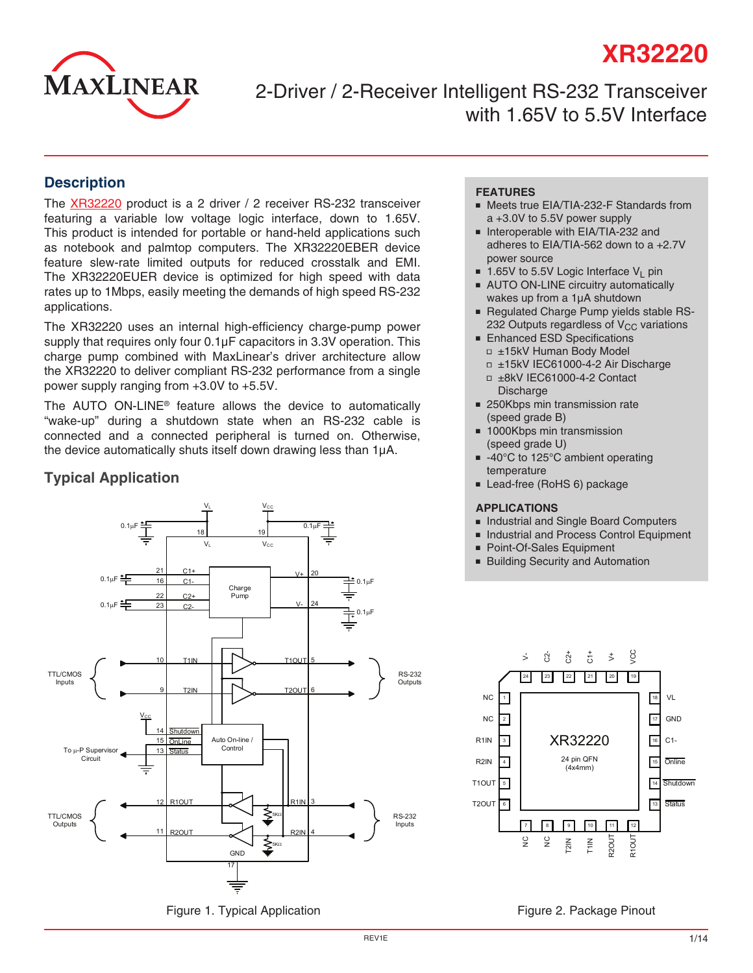# **XR32220**



2-Driver / 2-Receiver Intelligent RS-232 Transceiver with 1.65V to 5.5V Interface

### **Description**

The [XR32220](http://www.exar.com/XR32220) product is a 2 driver / 2 receiver RS-232 transceiver featuring a variable low voltage logic interface, down to 1.65V. This product is intended for portable or hand-held applications such as notebook and palmtop computers. The XR32220EBER device feature slew-rate limited outputs for reduced crosstalk and EMI. The XR32220EUER device is optimized for high speed with data rates up to 1Mbps, easily meeting the demands of high speed RS-232 applications.

The XR32220 uses an internal high-efficiency charge-pump power supply that requires only four 0.1μF capacitors in 3.3V operation. This charge pump combined with MaxLinear's driver architecture allow the XR32220 to deliver compliant RS-232 performance from a single power supply ranging from +3.0V to +5.5V.

The AUTO ON-LINE® feature allows the device to automatically "wake-up" during a shutdown state when an RS-232 cable is connected and a connected peripheral is turned on. Otherwise, the device automatically shuts itself down drawing less than 1μA.

### **Typical Application**



Figure 1. Typical Application

### **FEATURES**

- Meets true EIA/TIA-232-F Standards from a +3.0V to 5.5V power supply
- Interoperable with EIA/TIA-232 and adheres to EIA/TIA-562 down to a +2.7V power source
- 1.65V to 5.5V Logic Interface  $V_1$  pin
- AUTO ON-LINE circuitry automatically wakes up from a 1µA shutdown
- Regulated Charge Pump yields stable RS-232 Outputs regardless of  $V_{CC}$  variations
- **Enhanced ESD Specifications**
- □ ±15kV Human Body Model
- □ ±15kV IEC61000-4-2 Air Discharge ■ ±8kV IEC61000-4-2 Contact
- Discharge
- 250Kbps min transmission rate (speed grade B)
- 1000Kbps min transmission (speed grade U)
- -40°C to 125°C ambient operating temperature
- Lead-free (RoHS 6) package

#### **APPLICATIONS**

- Industrial and Single Board Computers
- Industrial and Process Control Equipment
- Point-Of-Sales Equipment
- Building Security and Automation



Figure 2. Package Pinout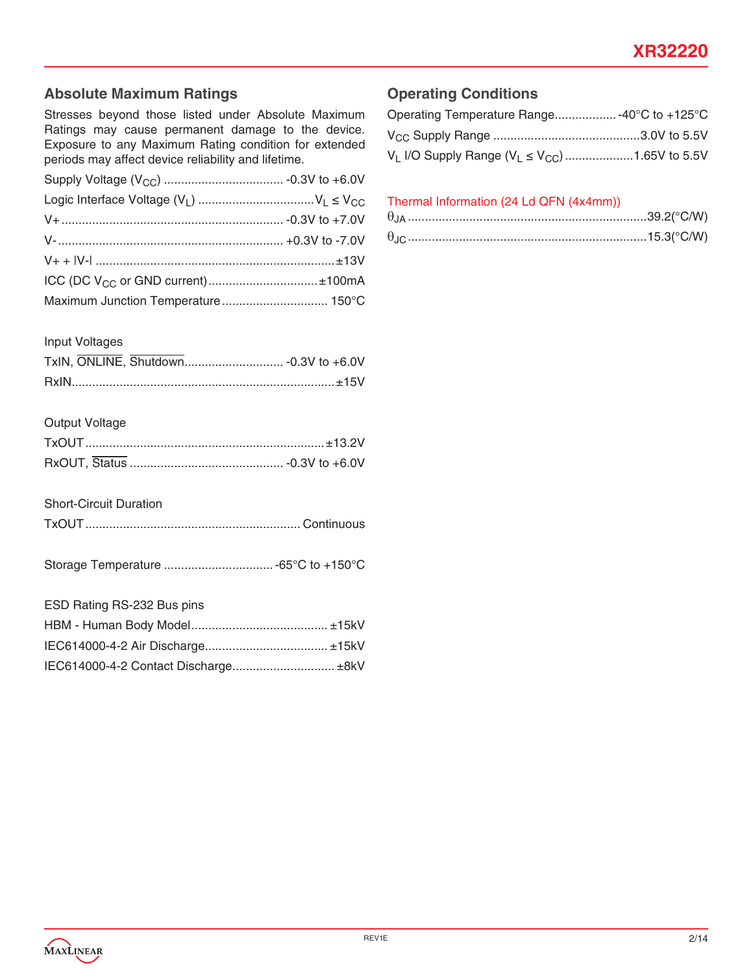## **Absolute Maximum Ratings**

Stresses beyond those listed under Absolute Maximum Ratings may cause permanent damage to the device. Exposure to any Maximum Rating condition for extended periods may affect device reliability and lifetime.

| ICC (DC $V_{CC}$ or GND current)±100mA |  |
|----------------------------------------|--|
|                                        |  |

#### Input Voltages

### Output Voltage

### Short-Circuit Duration

|--|--|

Storage Temperature ................................-65°C to +150°C

| ESD Rating RS-232 Bus pins           |  |
|--------------------------------------|--|
|                                      |  |
|                                      |  |
| IEC614000-4-2 Contact Discharge ±8kV |  |

### **Operating Conditions**

| Operating Temperature Range -40°C to +125°C               |  |
|-----------------------------------------------------------|--|
|                                                           |  |
| $V_L$ I/O Supply Range ( $V_L \le V_{CC}$ ) 1.65V to 5.5V |  |

### Thermal Information (24 Ld QFN (4x4mm))

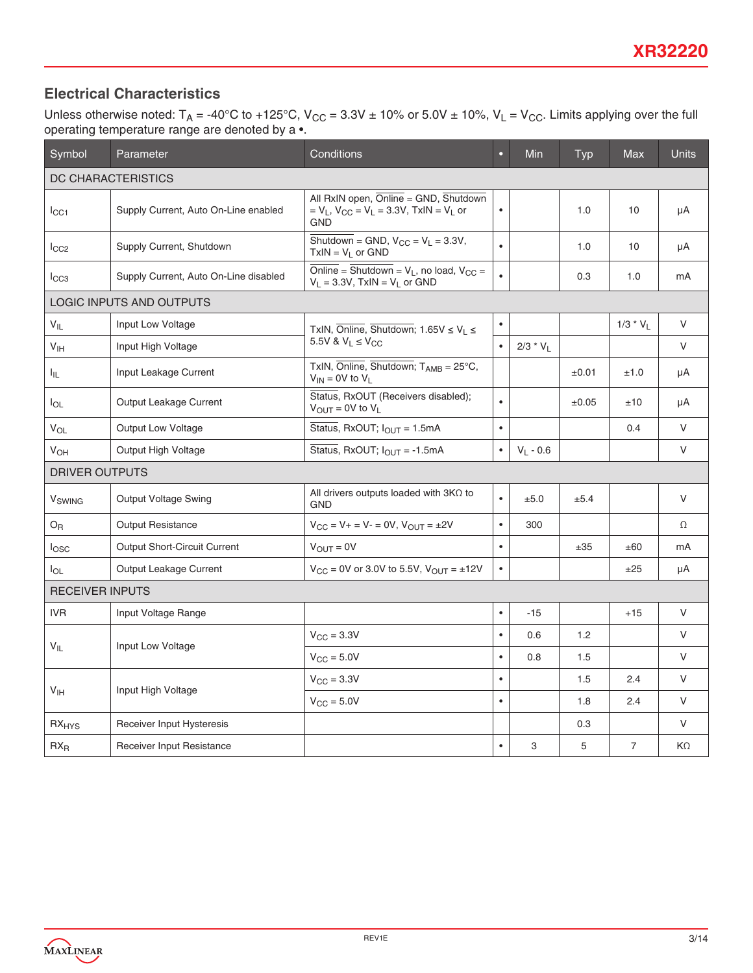## **Electrical Characteristics**

Unless otherwise noted: T<sub>A</sub> = -40°C to +125°C, V<sub>CC</sub> = 3.3V ± 10% or 5.0V ± 10%, V<sub>L</sub> = V<sub>CC</sub>. Limits applying over the full operating temperature range are denoted by a •.

| Symbol                    | Parameter                             | Conditions                                                                                                                | $\bullet$ | Min         | Typ   | <b>Max</b>     | <b>Units</b> |
|---------------------------|---------------------------------------|---------------------------------------------------------------------------------------------------------------------------|-----------|-------------|-------|----------------|--------------|
| DC CHARACTERISTICS        |                                       |                                                                                                                           |           |             |       |                |              |
| $_{\rm lcc1}$             | Supply Current, Auto On-Line enabled  | All RxIN open, Online = GND, Shutdown<br>= $V_L$ , $V_{CC}$ = $V_L$ = 3.3V, TxIN = $V_L$ or<br><b>GND</b>                 | $\bullet$ |             | 1.0   | 10             | μA           |
| ICC2                      | Supply Current, Shutdown              | Shutdown = GND, $V_{CC} = V_L = 3.3V$ ,<br>$TxIN = V_L$ or GND                                                            | $\bullet$ |             | 1.0   | 10             | μA           |
| $_{\rm lCG3}$             | Supply Current, Auto On-Line disabled | $\overline{\text{Online}} = \overline{\text{Shutdown}} = V_L$ , no load, $V_{CC} =$<br>$V_L = 3.3V$ , TxIN = $V_L$ or GND | $\bullet$ |             | 0.3   | 1.0            | mA           |
|                           | LOGIC INPUTS AND OUTPUTS              |                                                                                                                           |           |             |       |                |              |
| $V_{IL}$                  | Input Low Voltage                     | TxIN, Online, Shutdown; $1.65V \le V_L \le$                                                                               | $\bullet$ |             |       | $1/3 * V_L$    | V            |
| V <sub>IH</sub>           | Input High Voltage                    | 5.5V & $V_1 \leq V_{CC}$                                                                                                  | $\bullet$ | $2/3 * V_L$ |       |                | V            |
| ŀμ.                       | Input Leakage Current                 | TxIN, Online, Shutdown; $T_{AMB} = 25^{\circ}C$ ,<br>$V_{IN}$ = 0V to $V_L$                                               |           |             | ±0.01 | ±1.0           | μA           |
| $I_{OL}$                  | Output Leakage Current                | Status, RxOUT (Receivers disabled);<br>$\bullet$<br>$V_{\text{OUT}} = 0V$ to $V_{\text{L}}$                               |           |             | ±0.05 | ±10            | μA           |
| $V_{OL}$                  | <b>Output Low Voltage</b>             | Status, RxOUT; $I_{OUT} = 1.5mA$                                                                                          | $\bullet$ |             |       | 0.4            | $\vee$       |
| V <sub>OH</sub>           | Output High Voltage                   | Status, RxOUT; $I_{OUT} = -1.5mA$<br>$\bullet$                                                                            |           | $V_L - 0.6$ |       |                | V            |
| <b>DRIVER OUTPUTS</b>     |                                       |                                                                                                                           |           |             |       |                |              |
| <b>V</b> <sub>SWING</sub> | <b>Output Voltage Swing</b>           | All drivers outputs loaded with $3K\Omega$ to<br><b>GND</b>                                                               | $\bullet$ | ±5.0        | ±5.4  |                | V            |
| $O_{R}$                   | <b>Output Resistance</b>              | $V_{CC} = V_+ = V_- = 0V$ , $V_{OUT} = \pm 2V$                                                                            | $\bullet$ | 300         |       |                | Ω            |
| $I_{\text{OSC}}$          | Output Short-Circuit Current          | $V_{OUT} = 0V$                                                                                                            | $\bullet$ |             | ±35   | ±60            | mA           |
| $I_{OL}$                  | Output Leakage Current                | $V_{CC} = 0V$ or 3.0V to 5.5V, $V_{OUT} = \pm 12V$                                                                        | $\bullet$ |             |       | ±25            | μA           |
| <b>RECEIVER INPUTS</b>    |                                       |                                                                                                                           |           |             |       |                |              |
| <b>IVR</b>                | Input Voltage Range                   |                                                                                                                           | $\bullet$ | $-15$       |       | $+15$          | V            |
| $V_{IL}$                  | Input Low Voltage                     | $V_{\rm CC} = 3.3V$                                                                                                       | $\bullet$ | 0.6         | 1.2   |                | V            |
|                           |                                       | $V_{CC} = 5.0V$                                                                                                           | $\bullet$ | 0.8         | 1.5   |                | V            |
|                           |                                       | $V_{\text{CC}} = 3.3V$                                                                                                    | $\bullet$ |             | 1.5   | 2.4            | V            |
| V <sub>IH</sub>           | Input High Voltage                    | $V_{CC} = 5.0V$                                                                                                           | $\bullet$ |             | 1.8   | 2.4            | V            |
| $RX_{HYS}$                | Receiver Input Hysteresis             |                                                                                                                           |           |             | 0.3   |                | V            |
| $RX_R$                    | Receiver Input Resistance             |                                                                                                                           | $\bullet$ | 3           | 5     | $\overline{7}$ | $K\Omega$    |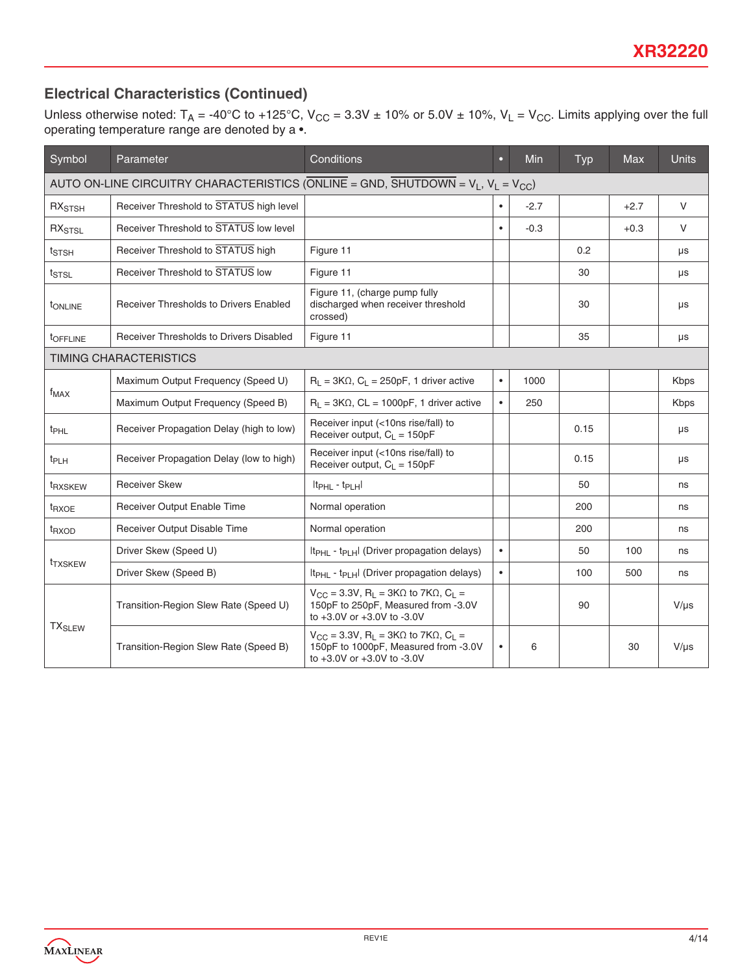## **Electrical Characteristics (Continued)**

Unless otherwise noted: T<sub>A</sub> = -40°C to +125°C, V<sub>CC</sub> = 3.3V ± 10% or 5.0V ± 10%, V<sub>L</sub> = V<sub>CC</sub>. Limits applying over the full operating temperature range are denoted by a •.

| Symbol                                                                                      | Parameter                                                                                                                        | Conditions                                                                                                                                                | о         | <b>Min</b> | <b>Typ</b> | <b>Max</b> | <b>Units</b> |
|---------------------------------------------------------------------------------------------|----------------------------------------------------------------------------------------------------------------------------------|-----------------------------------------------------------------------------------------------------------------------------------------------------------|-----------|------------|------------|------------|--------------|
| AUTO ON-LINE CIRCUITRY CHARACTERISTICS (ONLINE = GND, SHUTDOWN = $V_L$ , $V_L$ = $V_{CC}$ ) |                                                                                                                                  |                                                                                                                                                           |           |            |            |            |              |
| RX <sub>STSH</sub>                                                                          | Receiver Threshold to STATUS high level<br>$-2.7$<br>$\bullet$                                                                   |                                                                                                                                                           |           |            |            | $+2.7$     | $\vee$       |
| RX <sub>STSL</sub>                                                                          | Receiver Threshold to STATUS low level                                                                                           |                                                                                                                                                           |           | $-0.3$     |            | $+0.3$     | $\vee$       |
| t <sub>STSH</sub>                                                                           | Receiver Threshold to STATUS high                                                                                                | Figure 11                                                                                                                                                 |           |            | 0.2        |            | μs           |
| $t_{\text{STSL}}$                                                                           | Receiver Threshold to STATUS low                                                                                                 | Figure 11                                                                                                                                                 |           |            | 30         |            | μs           |
| <b>TONLINE</b>                                                                              | Figure 11, (charge pump fully<br>discharged when receiver threshold<br><b>Receiver Thresholds to Drivers Enabled</b><br>crossed) |                                                                                                                                                           |           |            |            |            | μs           |
| tOFFLINE                                                                                    | Receiver Thresholds to Drivers Disabled                                                                                          | Figure 11                                                                                                                                                 |           |            | 35         |            | μs           |
|                                                                                             | <b>TIMING CHARACTERISTICS</b>                                                                                                    |                                                                                                                                                           |           |            |            |            |              |
|                                                                                             | Maximum Output Frequency (Speed U)                                                                                               | $R_L$ = 3K $\Omega$ , $C_L$ = 250pF, 1 driver active                                                                                                      | $\bullet$ | 1000       |            |            | <b>Kbps</b>  |
| $f_{MAX}$<br>Maximum Output Frequency (Speed B)                                             |                                                                                                                                  | $R_1 = 3K\Omega$ , CL = 1000pF, 1 driver active                                                                                                           | $\bullet$ | 250        |            |            | <b>Kbps</b>  |
| $t_{\text{PHL}}$                                                                            | Receiver Propagation Delay (high to low)                                                                                         | Receiver input (<10ns rise/fall) to<br>Receiver output, $C_1 = 150pF$                                                                                     |           |            | 0.15       |            | μs           |
| t <sub>PLH</sub>                                                                            | Receiver Propagation Delay (low to high)                                                                                         | Receiver input (<10ns rise/fall) to<br>Receiver output, $C_1 = 150pF$                                                                                     |           |            | 0.15       |            | μs           |
| <sup>t</sup> RXSKEW                                                                         | <b>Receiver Skew</b>                                                                                                             | $ t_{\text{PHL}} - t_{\text{PLH}} $                                                                                                                       |           |            | 50         |            | ns           |
| t <sub>RXOE</sub>                                                                           | Receiver Output Enable Time                                                                                                      | Normal operation                                                                                                                                          |           |            | 200        |            | ns           |
| t <sub>RXOD</sub>                                                                           | Receiver Output Disable Time                                                                                                     | Normal operation                                                                                                                                          |           |            | 200        |            | ns           |
|                                                                                             | Driver Skew (Speed U)                                                                                                            | $ t_{PHI} - t_{PIH} $ (Driver propagation delays)                                                                                                         | $\bullet$ |            | 50         | 100        | ns           |
| <sup>t</sup> TXSKEW                                                                         | Driver Skew (Speed B)                                                                                                            | It <sub>PHL</sub> - t <sub>PLH</sub> I (Driver propagation delays)                                                                                        | $\bullet$ |            | 100        | 500        | ns           |
|                                                                                             | Transition-Region Slew Rate (Speed U)                                                                                            | $V_{CC}$ = 3.3V, R <sub>1</sub> = 3KΩ to 7KΩ, C <sub>1</sub> =<br>150pF to 250pF, Measured from -3.0V<br>to +3.0V or +3.0V to -3.0V                       |           |            | 90         |            | $V/\mu s$    |
| <b>TX<sub>SLEW</sub></b>                                                                    | Transition-Region Slew Rate (Speed B)                                                                                            | $V_{\rm CC}$ = 3.3V, R <sub>1</sub> = 3K $\Omega$ to 7K $\Omega$ , C <sub>1</sub> =<br>150pF to 1000pF, Measured from -3.0V<br>to +3.0V or +3.0V to -3.0V | $\bullet$ | 6          |            | 30         | $V/\mu s$    |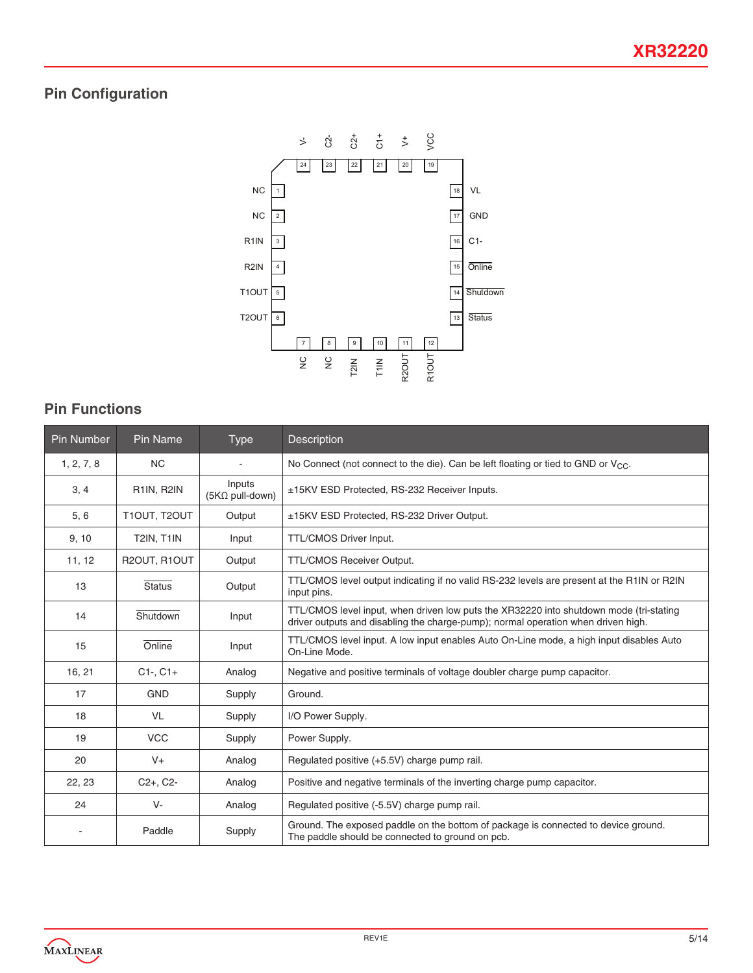# **Pin Configuration**



# **Pin Functions**

| <b>Pin Number</b> | Pin Name          | <b>Type</b>                      | Description                                                                                                                                                                 |  |  |
|-------------------|-------------------|----------------------------------|-----------------------------------------------------------------------------------------------------------------------------------------------------------------------------|--|--|
| 1, 2, 7, 8        | <b>NC</b>         | ٠                                | No Connect (not connect to the die). Can be left floating or tied to GND or $V_{CC}$ .                                                                                      |  |  |
| 3, 4              | R1IN, R2IN        | Inputs<br>$(5K\Omega$ pull-down) | ±15KV ESD Protected, RS-232 Receiver Inputs.                                                                                                                                |  |  |
| 5, 6              | T1OUT, T2OUT      | Output                           | ±15KV ESD Protected, RS-232 Driver Output.                                                                                                                                  |  |  |
| 9, 10             | <b>T2IN, T1IN</b> | Input                            | TTL/CMOS Driver Input.                                                                                                                                                      |  |  |
| 11, 12            | R2OUT, R1OUT      | Output                           | TTL/CMOS Receiver Output.                                                                                                                                                   |  |  |
| 13                | <b>Status</b>     | Output                           | TTL/CMOS level output indicating if no valid RS-232 levels are present at the R1IN or R2IN<br>input pins.                                                                   |  |  |
| 14                | Shutdown          | Input                            | TTL/CMOS level input, when driven low puts the XR32220 into shutdown mode (tri-stating<br>driver outputs and disabling the charge-pump); normal operation when driven high. |  |  |
| 15                | Online            | Input                            | TTL/CMOS level input. A low input enables Auto On-Line mode, a high input disables Auto<br>On-Line Mode.                                                                    |  |  |
| 16, 21            | $C1-, C1+$        | Analog                           | Negative and positive terminals of voltage doubler charge pump capacitor.                                                                                                   |  |  |
| 17                | <b>GND</b>        | Supply                           | Ground.                                                                                                                                                                     |  |  |
| 18                | <b>VL</b>         | Supply                           | I/O Power Supply.                                                                                                                                                           |  |  |
| 19                | <b>VCC</b>        | Supply                           | Power Supply.                                                                                                                                                               |  |  |
| 20                | $V +$             | Analog                           | Regulated positive (+5.5V) charge pump rail.                                                                                                                                |  |  |
| 22, 23            | $C2+$ , $C2-$     | Analog                           | Positive and negative terminals of the inverting charge pump capacitor.                                                                                                     |  |  |
| 24                | V-                | Analog                           | Regulated positive (-5.5V) charge pump rail.                                                                                                                                |  |  |
|                   | Paddle            | Supply                           | Ground. The exposed paddle on the bottom of package is connected to device ground.<br>The paddle should be connected to ground on pcb.                                      |  |  |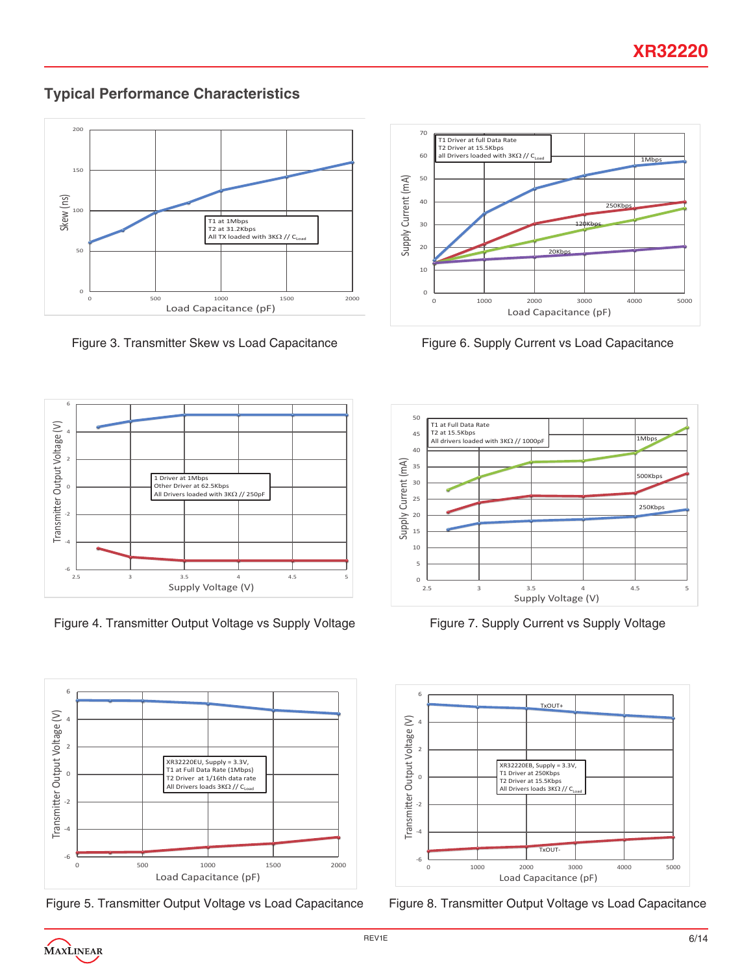**Typical Performance Characteristics**



Figure 3. Transmitter Skew vs Load Capacitance



Figure 4. Transmitter Output Voltage vs Supply Voltage



Figure 5. Transmitter Output Voltage vs Load Capacitance



Figure 6. Supply Current vs Load Capacitance



Figure 7. Supply Current vs Supply Voltage



Figure 8. Transmitter Output Voltage vs Load Capacitance

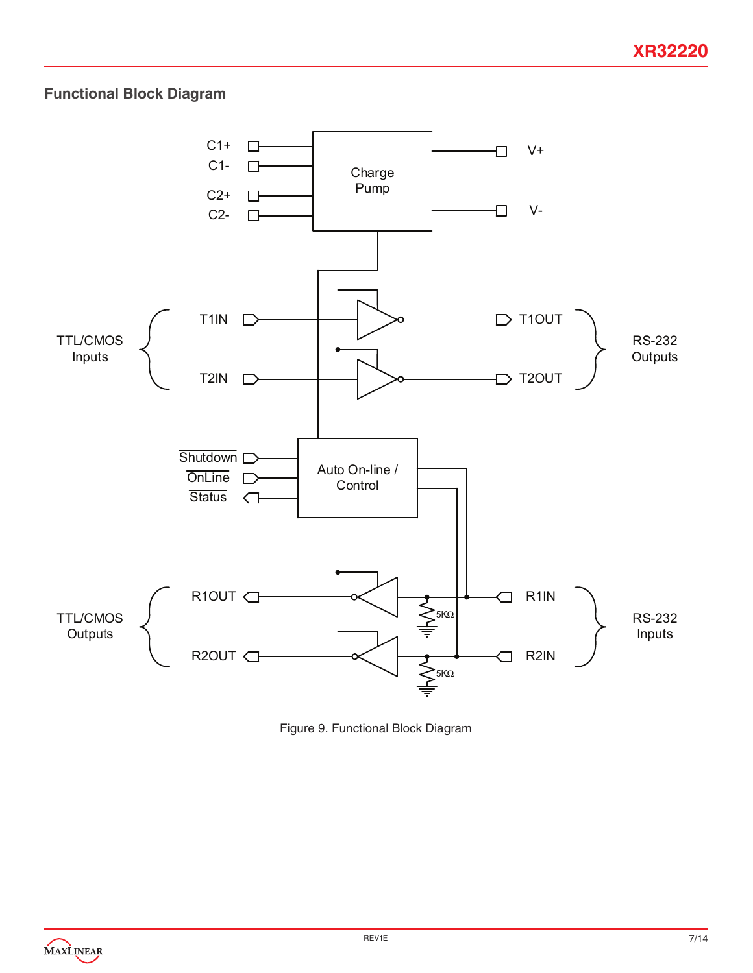# **Functional Block Diagram**



Figure 9. Functional Block Diagram

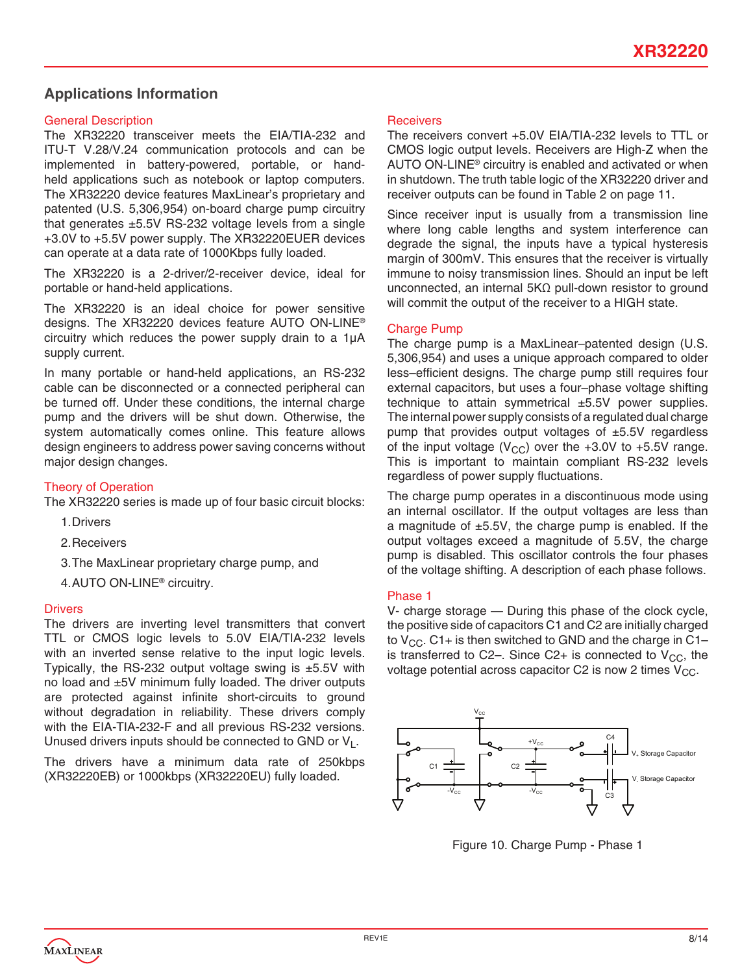### **Applications Information**

#### General Description

The XR32220 transceiver meets the EIA/TIA-232 and ITU-T V.28/V.24 communication protocols and can be implemented in battery-powered, portable, or handheld applications such as notebook or laptop computers. The XR32220 device features MaxLinear's proprietary and patented (U.S. 5,306,954) on-board charge pump circuitry that generates  $\pm$ 5.5V RS-232 voltage levels from a single +3.0V to +5.5V power supply. The XR32220EUER devices can operate at a data rate of 1000Kbps fully loaded.

The XR32220 is a 2-driver/2-receiver device, ideal for portable or hand-held applications.

The XR32220 is an ideal choice for power sensitive designs. The XR32220 devices feature AUTO ON-LINE® circuitry which reduces the power supply drain to a 1µA supply current.

In many portable or hand-held applications, an RS-232 cable can be disconnected or a connected peripheral can be turned off. Under these conditions, the internal charge pump and the drivers will be shut down. Otherwise, the system automatically comes online. This feature allows design engineers to address power saving concerns without major design changes.

#### Theory of Operation

The XR32220 series is made up of four basic circuit blocks:

- 1.Drivers
- 2.Receivers

3.The MaxLinear proprietary charge pump, and

4.AUTO ON-LINE® circuitry.

#### **Drivers**

The drivers are inverting level transmitters that convert TTL or CMOS logic levels to 5.0V EIA/TIA-232 levels with an inverted sense relative to the input logic levels. Typically, the RS-232 output voltage swing is  $\pm$ 5.5V with no load and ±5V minimum fully loaded. The driver outputs are protected against infinite short-circuits to ground without degradation in reliability. These drivers comply with the EIA-TIA-232-F and all previous RS-232 versions. Unused drivers inputs should be connected to GND or  $V_1$ .

The drivers have a minimum data rate of 250kbps (XR32220EB) or 1000kbps (XR32220EU) fully loaded.

#### Receivers

The receivers convert +5.0V EIA/TIA-232 levels to TTL or CMOS logic output levels. Receivers are High-Z when the AUTO ON-LINE® circuitry is enabled and activated or when in shutdown. The truth table logic of the XR32220 driver and receiver outputs can be found in Table 2 on page 11.

Since receiver input is usually from a transmission line where long cable lengths and system interference can degrade the signal, the inputs have a typical hysteresis margin of 300mV. This ensures that the receiver is virtually immune to noisy transmission lines. Should an input be left unconnected, an internal 5KΩ pull-down resistor to ground will commit the output of the receiver to a HIGH state.

#### Charge Pump

The charge pump is a MaxLinear–patented design (U.S. 5,306,954) and uses a unique approach compared to older less–efficient designs. The charge pump still requires four external capacitors, but uses a four–phase voltage shifting technique to attain symmetrical  $\pm 5.5V$  power supplies. The internal power supply consists of a regulated dual charge pump that provides output voltages of ±5.5V regardless of the input voltage ( $V_{\text{CC}}$ ) over the +3.0V to +5.5V range. This is important to maintain compliant RS-232 levels regardless of power supply fluctuations.

The charge pump operates in a discontinuous mode using an internal oscillator. If the output voltages are less than a magnitude of  $\pm$ 5.5V, the charge pump is enabled. If the output voltages exceed a magnitude of 5.5V, the charge pump is disabled. This oscillator controls the four phases of the voltage shifting. A description of each phase follows.

#### Phase 1

V- charge storage — During this phase of the clock cycle, the positive side of capacitors C1 and C2 are initially charged to  $V_{CC}$ . C1+ is then switched to GND and the charge in C1– is transferred to C2–. Since C2+ is connected to  $V_{CC}$ , the voltage potential across capacitor C2 is now 2 times  $V_{CC}$ .



Figure 10. Charge Pump - Phase 1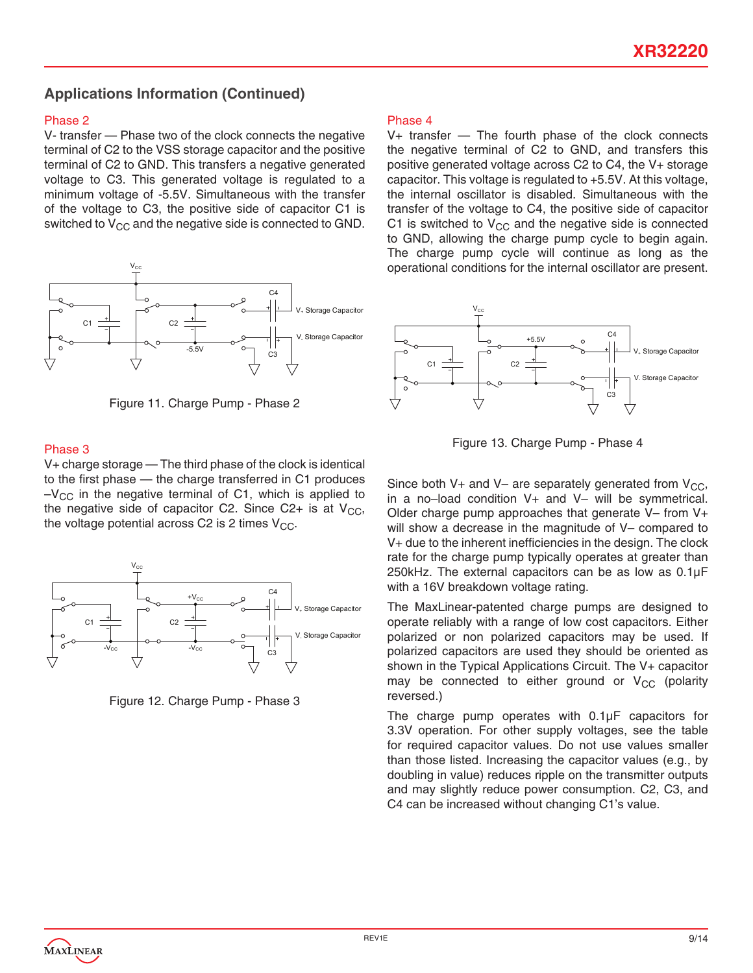### **Applications Information (Continued)**

#### Phase 2

V- transfer — Phase two of the clock connects the negative terminal of C2 to the VSS storage capacitor and the positive terminal of C2 to GND. This transfers a negative generated voltage to C3. This generated voltage is regulated to a minimum voltage of -5.5V. Simultaneous with the transfer of the voltage to C3, the positive side of capacitor C1 is switched to  $V_{CC}$  and the negative side is connected to GND.





#### Phase 3

V+ charge storage — The third phase of the clock is identical to the first phase — the charge transferred in C1 produces  $-V_{\text{CC}}$  in the negative terminal of C1, which is applied to the negative side of capacitor C2. Since C2+ is at  $V_{CC}$ , the voltage potential across C2 is 2 times  $V_{CC}$ .



Figure 12. Charge Pump - Phase 3

#### Phase 4

V+ transfer — The fourth phase of the clock connects the negative terminal of C2 to GND, and transfers this positive generated voltage across C2 to C4, the V+ storage capacitor. This voltage is regulated to +5.5V. At this voltage, the internal oscillator is disabled. Simultaneous with the transfer of the voltage to C4, the positive side of capacitor C1 is switched to  $V_{CC}$  and the negative side is connected to GND, allowing the charge pump cycle to begin again. The charge pump cycle will continue as long as the operational conditions for the internal oscillator are present.



Figure 13. Charge Pump - Phase 4

Since both V+ and V– are separately generated from  $V_{CC}$ , in a no–load condition V+ and V– will be symmetrical. Older charge pump approaches that generate V– from V+ will show a decrease in the magnitude of V– compared to V+ due to the inherent inefficiencies in the design. The clock rate for the charge pump typically operates at greater than 250kHz. The external capacitors can be as low as 0.1µF with a 16V breakdown voltage rating.

The MaxLinear-patented charge pumps are designed to operate reliably with a range of low cost capacitors. Either polarized or non polarized capacitors may be used. If polarized capacitors are used they should be oriented as shown in the Typical Applications Circuit. The V+ capacitor may be connected to either ground or  $V_{CC}$  (polarity reversed.)

The charge pump operates with 0.1µF capacitors for 3.3V operation. For other supply voltages, see the table for required capacitor values. Do not use values smaller than those listed. Increasing the capacitor values (e.g., by doubling in value) reduces ripple on the transmitter outputs and may slightly reduce power consumption. C2, C3, and C4 can be increased without changing C1's value.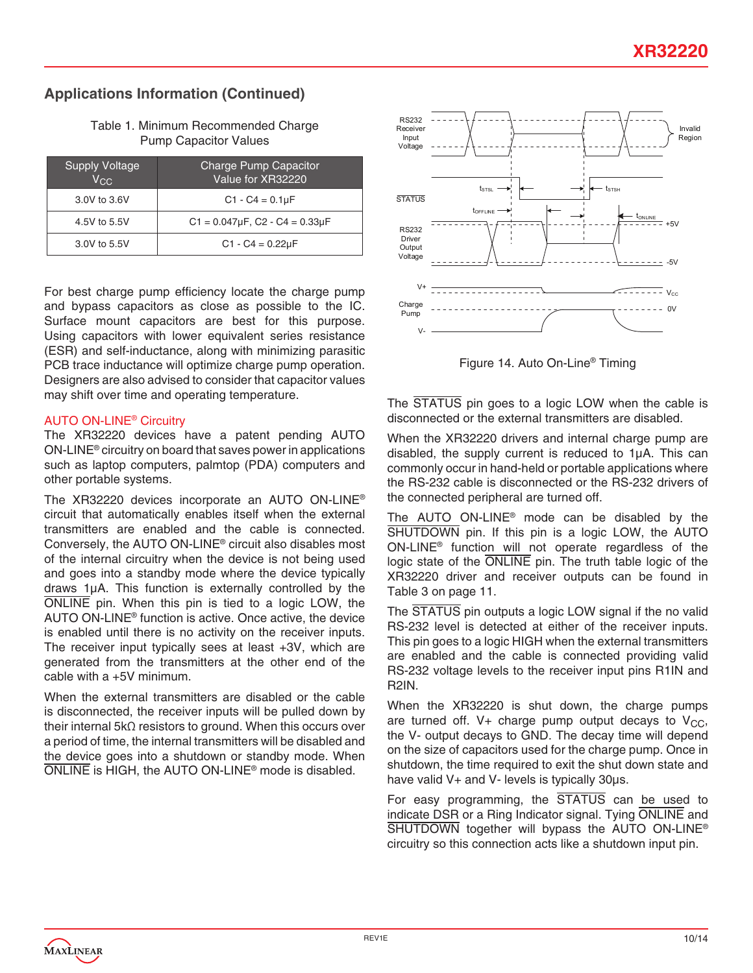# **Applications Information (Continued)**

Table 1. Minimum Recommended Charge Pump Capacitor Values

| <b>Supply Voltage</b><br>Vcc | Charge Pump Capacitor<br>Value for XR32220  |
|------------------------------|---------------------------------------------|
| 3.0V to 3.6V                 | $C1 - C4 = 0.1 \mu F$                       |
| 4.5V to 5.5V                 | $C1 = 0.047 \mu F$ , $C2 - C4 = 0.33 \mu F$ |
| 3.0V to 5.5V                 | $C1 - C4 = 0.22 \mu F$                      |

For best charge pump efficiency locate the charge pump and bypass capacitors as close as possible to the IC. Surface mount capacitors are best for this purpose. Using capacitors with lower equivalent series resistance (ESR) and self-inductance, along with minimizing parasitic PCB trace inductance will optimize charge pump operation. Designers are also advised to consider that capacitor values may shift over time and operating temperature.

#### AUTO ON-LINE® Circuitry

The XR32220 devices have a patent pending AUTO ON-LINE® circuitry on board that saves power in applications such as laptop computers, palmtop (PDA) computers and other portable systems.

The XR32220 devices incorporate an AUTO ON-LINE® circuit that automatically enables itself when the external transmitters are enabled and the cable is connected. Conversely, the AUTO ON-LINE® circuit also disables most of the internal circuitry when the device is not being used and goes into a standby mode where the device typically draws 1µA. This function is externally controlled by the ONLINE pin. When this pin is tied to a logic LOW, the AUTO ON-LINE® function is active. Once active, the device is enabled until there is no activity on the receiver inputs. The receiver input typically sees at least +3V, which are generated from the transmitters at the other end of the cable with a +5V minimum.

When the external transmitters are disabled or the cable is disconnected, the receiver inputs will be pulled down by their internal 5kΩ resistors to ground. When this occurs over a period of time, the internal transmitters will be disabled and the device goes into a shutdown or standby mode. When ONLINE is HIGH, the AUTO ON-LINE® mode is disabled.



Figure 14. Auto On-Line® Timing

The STATUS pin goes to a logic LOW when the cable is disconnected or the external transmitters are disabled.

When the XR32220 drivers and internal charge pump are disabled, the supply current is reduced to 1µA. This can commonly occur in hand-held or portable applications where the RS-232 cable is disconnected or the RS-232 drivers of the connected peripheral are turned off.

The AUTO ON-LINE® mode can be disabled by the SHUTDOWN pin. If this pin is a logic LOW, the AUTO ON-LINE® function will not operate regardless of the logic state of the ONLINE pin. The truth table logic of the XR32220 driver and receiver outputs can be found in Table 3 on page 11.

The STATUS pin outputs a logic LOW signal if the no valid RS-232 level is detected at either of the receiver inputs. This pin goes to a logic HIGH when the external transmitters are enabled and the cable is connected providing valid RS-232 voltage levels to the receiver input pins R1IN and R2IN.

When the XR32220 is shut down, the charge pumps are turned off. V+ charge pump output decays to  $V_{CC}$ , the V- output decays to GND. The decay time will depend on the size of capacitors used for the charge pump. Once in shutdown, the time required to exit the shut down state and have valid V+ and V- levels is typically 30µs.

For easy programming, the STATUS can be used to indicate DSR or a Ring Indicator signal. Tying ONLINE and SHUTDOWN together will bypass the AUTO ON-LINE<sup>®</sup> circuitry so this connection acts like a shutdown input pin.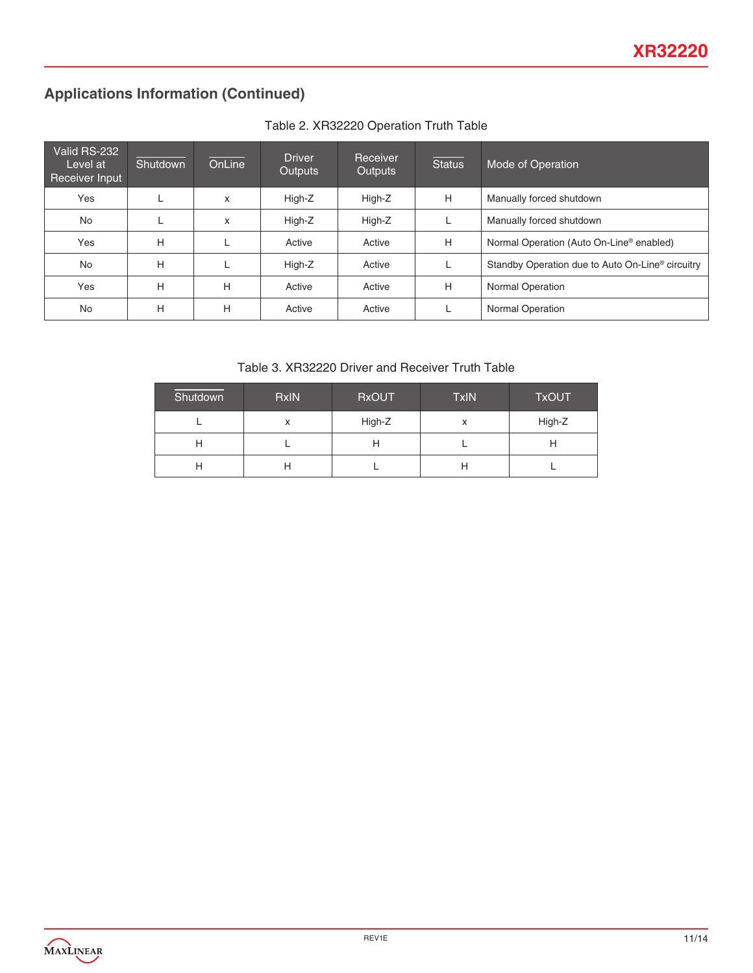# **Applications Information (Continued)**

| Valid RS-232<br>Level at<br>Receiver Input | Shutdown | OnLine | <b>Driver</b><br>Outputs | Receiver<br><b>Outputs</b> | <b>Status</b> | Mode of Operation                                            |
|--------------------------------------------|----------|--------|--------------------------|----------------------------|---------------|--------------------------------------------------------------|
| Yes                                        |          | X      | High-Z                   | High-Z                     | Н             | Manually forced shutdown                                     |
| <b>No</b>                                  |          | X      | High-Z                   | High-Z                     |               | Manually forced shutdown                                     |
| Yes                                        | н        |        | Active                   | Active                     | Н             | Normal Operation (Auto On-Line <sup>®</sup> enabled)         |
| <b>No</b>                                  | Н        |        | High-Z                   | Active                     |               | Standby Operation due to Auto On-Line <sup>®</sup> circuitry |
| Yes                                        | Н        | Н      | Active                   | Active                     | н             | <b>Normal Operation</b>                                      |
| No                                         | н        | Н      | Active                   | Active                     |               | <b>Normal Operation</b>                                      |

### Table 2. XR32220 Operation Truth Table

Table 3. XR32220 Driver and Receiver Truth Table

| Shutdown | <b>RxIN</b>       | <b>RxOUT</b> | TxIN | <b>TxOUT</b> |
|----------|-------------------|--------------|------|--------------|
|          | $\checkmark$<br>́ | High-Z       | x    | High-Z       |
| н        |                   |              |      |              |
| H        |                   |              | п    |              |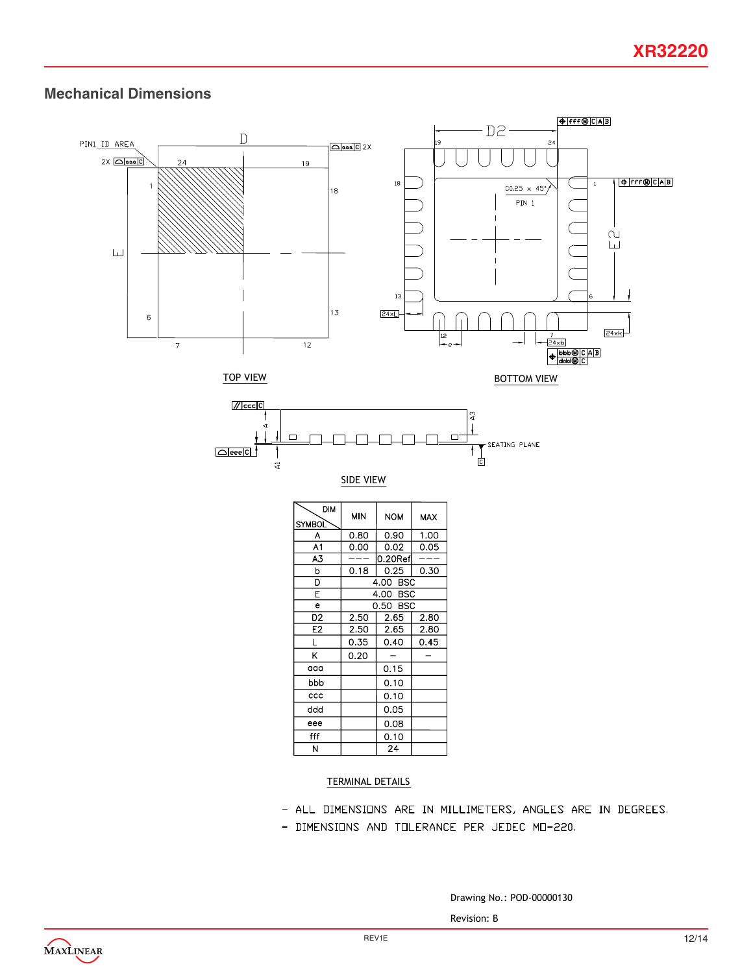### **Mechanical Dimensions**



| <b>DIM</b><br><b>SYMBOL</b> | <b>MIN</b> | <b>NOM</b> | <b>MAX</b> |
|-----------------------------|------------|------------|------------|
| A                           | 0.80       | 0.90       | 1.00       |
| A1                          | 0.00       | 0.02       | 0.05       |
| A3                          |            | $0.20$ Ref |            |
| b                           | 0.18       | 0.25       | 0.30       |
| D                           | 4.00 BSC   |            |            |
| E                           | 4.00 BSC   |            |            |
| e                           | 0.50 BSC   |            |            |
| D <sub>2</sub>              | 2.50       | 2.65       | 2.80       |
| E <sub>2</sub>              | 2.50       | 2.65       | 2.80       |
| L                           | 0.35       | 0.40       | 0.45       |
| K                           | 0.20       |            |            |
| aaa                         |            | 0.15       |            |
| bbb                         |            | 0.10       |            |
| ccc                         |            | 0.10       |            |
| ddd                         |            | 0.05       |            |
| eee                         |            | 0.08       |            |
| fff                         |            | 0.10       |            |
| N                           |            | 24         |            |

#### TERMINAL DETAILS

- ALL DIMENSIONS ARE IN MILLIMETERS, ANGLES ARE IN DEGREES.
- DIMENSIONS AND TOLERANCE PER JEDEC MO-220.

Drawing No.: POD-00000130

Revision: B

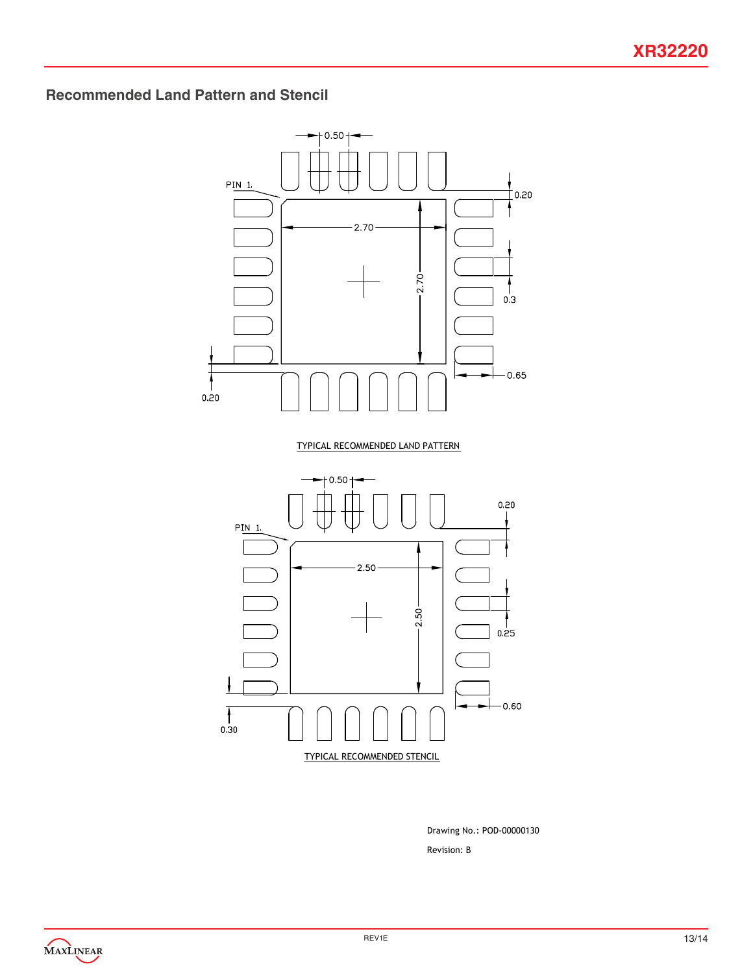# **Recommended Land Pattern and Stencil**



Revision: B Drawing No.: POD-00000130